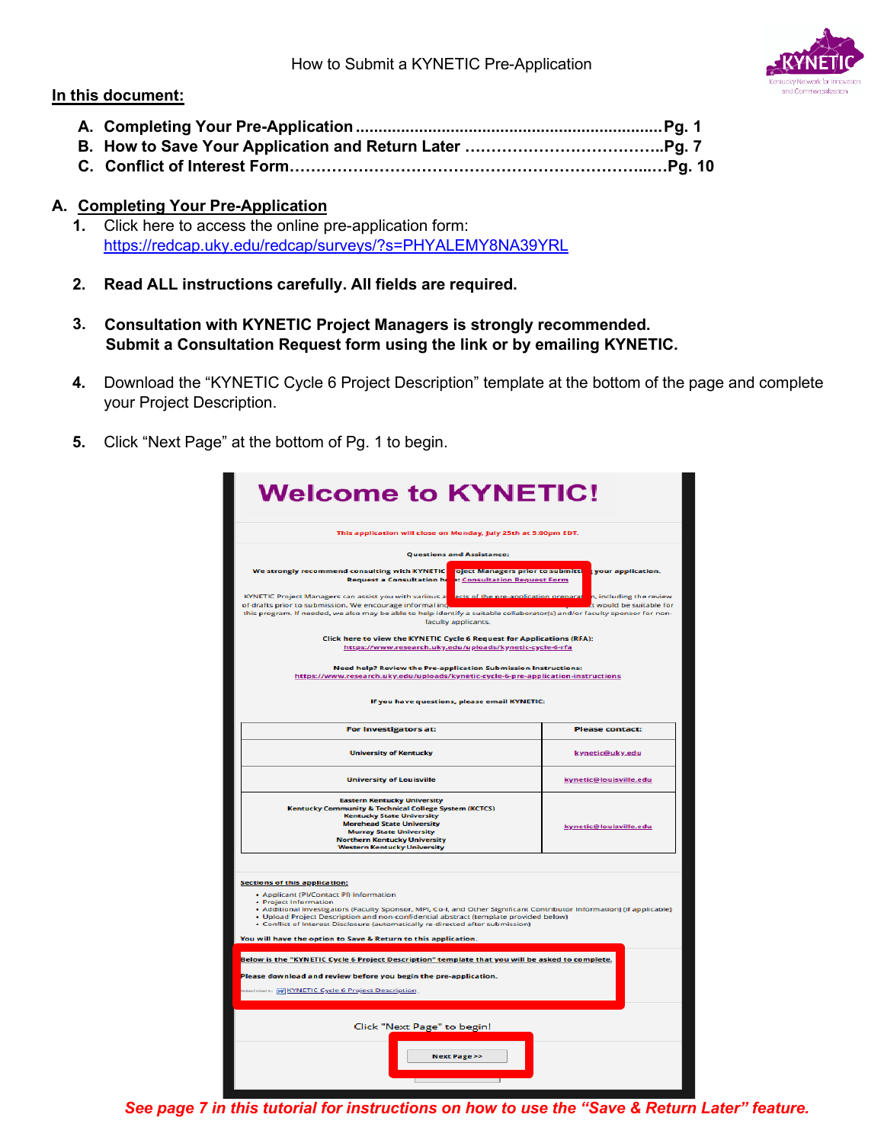# **In this document:**



- **A. Completing Your Pre-Application....................................................................Pg. 1 B. How to Save Your Application and Return Later ………………………………..Pg. 7**
- **C. Conflict of Interest Form…………………………………………………………...…Pg. 10**

# **A. Completing Your Pre-Application**

- **1.** Click here to access the online pre-application form: <https://redcap.uky.edu/redcap/surveys/?s=PHYALEMY8NA39YRL>
- **2. Read ALL instructions carefully. All fields are required.**
- **3. Consultation with KYNETIC Project Managers is strongly recommended. Submit a Consultation Request form using the link or by emailing KYNETIC.**
- **4.** Download the "KYNETIC Cycle 6 Project Description" template at the bottom of the page and complete your Project Description.
- **5.** Click "Next Page" at the bottom of Pg. 1 to begin.

| <b>Welcome to KYNETIC!</b>                                                                                                                                                                                                                                                                                                                                                                                                                                                                                                                                                        |                        |  |
|-----------------------------------------------------------------------------------------------------------------------------------------------------------------------------------------------------------------------------------------------------------------------------------------------------------------------------------------------------------------------------------------------------------------------------------------------------------------------------------------------------------------------------------------------------------------------------------|------------------------|--|
| This application will close on Monday, July 25th at 5:00pm EDT.                                                                                                                                                                                                                                                                                                                                                                                                                                                                                                                   |                        |  |
| <b>Questions and Assistance:</b>                                                                                                                                                                                                                                                                                                                                                                                                                                                                                                                                                  |                        |  |
| We strongly recommend consulting with KYNETIC<br>oject Managers prior to submitties, your application.<br><b>Request a Consultation he</b><br><b>E: Consultation Request Form</b><br>KYNETIC Project Managers can assist you with various a<br>ects of the pre-application preparat<br>n, including the review<br>of drafts prior to submission. We encourage informal ind<br>t would be suitable for<br>this program. If needed, we also may be able to help identify a suitable collaborator(s) and/or faculty sponsor for non-<br>faculty applicants.                          |                        |  |
| Click here to view the KYNETIC Cycle 6 Request for Applications (RFA):<br>https://www.research.uky.edu/uploads/kynetic-cycle-6-rfa                                                                                                                                                                                                                                                                                                                                                                                                                                                |                        |  |
| Need help? Review the Pre-application Submission Instructions:<br>https://www.research.uky.edu/uploads/kynetic-cycle-6-pre-application-instructions                                                                                                                                                                                                                                                                                                                                                                                                                               |                        |  |
| If you have questions, please email KYNETIC:                                                                                                                                                                                                                                                                                                                                                                                                                                                                                                                                      |                        |  |
| <b>For Investigators at:</b>                                                                                                                                                                                                                                                                                                                                                                                                                                                                                                                                                      | <b>Please contact:</b> |  |
| <b>University of Kentucky</b><br>kynetic@uky.edu                                                                                                                                                                                                                                                                                                                                                                                                                                                                                                                                  |                        |  |
| <b>University of Louisville</b>                                                                                                                                                                                                                                                                                                                                                                                                                                                                                                                                                   | kynetic@louisville.edu |  |
| <b>Eastern Kentucky University</b><br>Kentucky Community & Technical College System (KCTCS)<br><b>Kentucky State University</b><br><b>Morehead State University</b><br>kynetic@louisville.edu<br><b>Murray State University</b><br><b>Northern Kentucky University</b><br><b>Western Kentucky University</b>                                                                                                                                                                                                                                                                      |                        |  |
| <b>Sections of this application:</b><br>. Applicant (PI/Contact PI) Information<br>· Project Information<br>. Additional Investigators (Faculty Sponsor, MPI, Co-I, and Other Significant Contributor Information) (if applicable)<br>· Upload Project Description and non-confidential abstract (template provided below)<br>. Conflict of Interest Disclosure (automatically re-directed after submission)<br>You will have the option to Save & Return to this application.<br>Below is the "KYNETIC Cycle 6 Project Description" template that you will be asked to complete. |                        |  |
| Please download and review before you begin the pre-application.<br>Attachment: 199 KYNETIC Cycle 6 Project Description                                                                                                                                                                                                                                                                                                                                                                                                                                                           |                        |  |
| Click "Next Page" to begin!<br><b>Next Page &gt;&gt;</b>                                                                                                                                                                                                                                                                                                                                                                                                                                                                                                                          |                        |  |

*See page 7 in this tutorial for instructions on how to use the "Save & Return Later" feature.*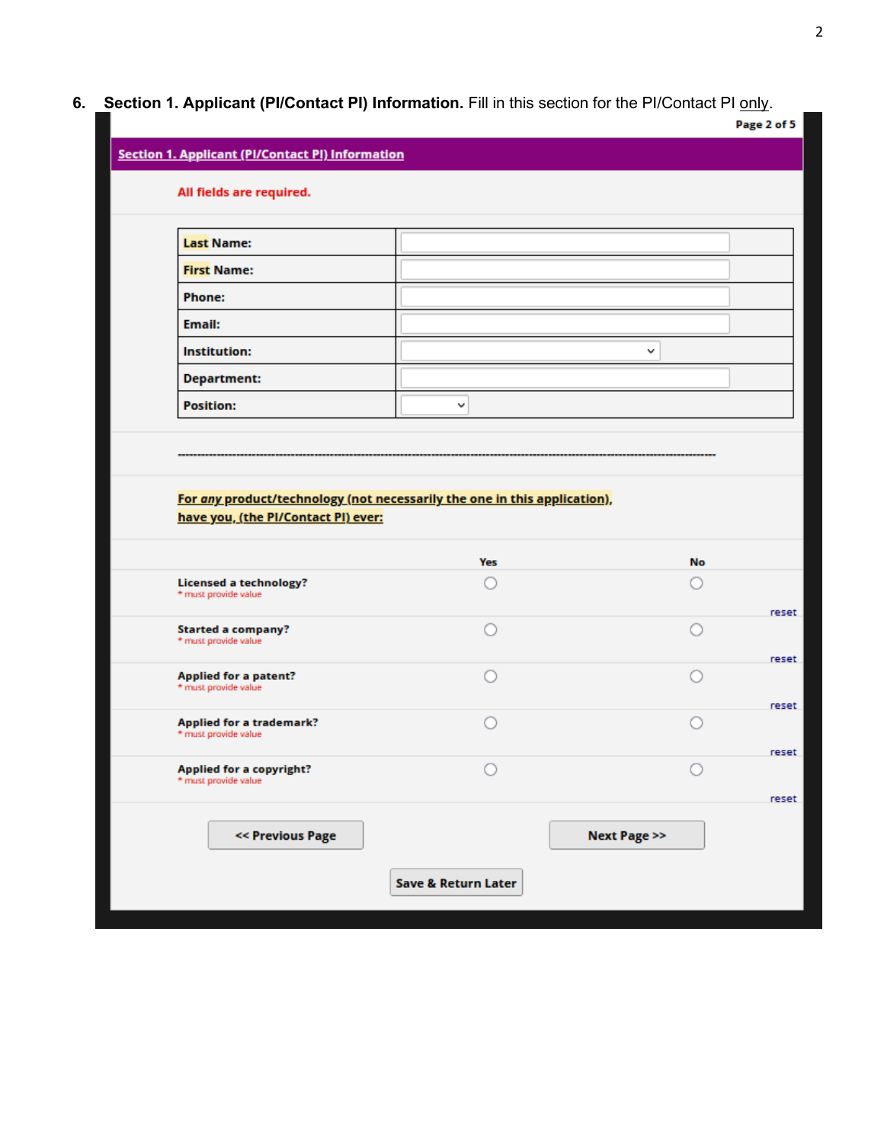**6. Section 1. Applicant (PI/Contact PI) Information.** Fill in this section for the PI/Contact PI only.

| All fields are required.                                                                                                                                                                                                                                                                                                        |                                                                                  |    |
|---------------------------------------------------------------------------------------------------------------------------------------------------------------------------------------------------------------------------------------------------------------------------------------------------------------------------------|----------------------------------------------------------------------------------|----|
| <b>Last Name:</b>                                                                                                                                                                                                                                                                                                               |                                                                                  |    |
| <b>First Name:</b>                                                                                                                                                                                                                                                                                                              |                                                                                  |    |
| <b>Phone:</b>                                                                                                                                                                                                                                                                                                                   |                                                                                  |    |
| Email:                                                                                                                                                                                                                                                                                                                          |                                                                                  |    |
| <b>Institution:</b>                                                                                                                                                                                                                                                                                                             |                                                                                  | v  |
| <b>Department:</b>                                                                                                                                                                                                                                                                                                              |                                                                                  |    |
| <b>Position:</b>                                                                                                                                                                                                                                                                                                                | v                                                                                |    |
|                                                                                                                                                                                                                                                                                                                                 | For any product/technology (not necessarily the one in this application),<br>Yes | No |
|                                                                                                                                                                                                                                                                                                                                 |                                                                                  |    |
|                                                                                                                                                                                                                                                                                                                                 |                                                                                  |    |
|                                                                                                                                                                                                                                                                                                                                 | Ω                                                                                |    |
|                                                                                                                                                                                                                                                                                                                                 | O                                                                                |    |
| have you, (the PI/Contact PI) ever:<br><b>Licensed a technology?</b><br>* must provide value<br><b>Started a company?</b><br>* must provide value<br><b>Applied for a patent?</b><br>* must provide value<br><b>Applied for a trademark?</b><br>* must provide value<br><b>Applied for a copyright?</b><br>* must provide value | C                                                                                | C  |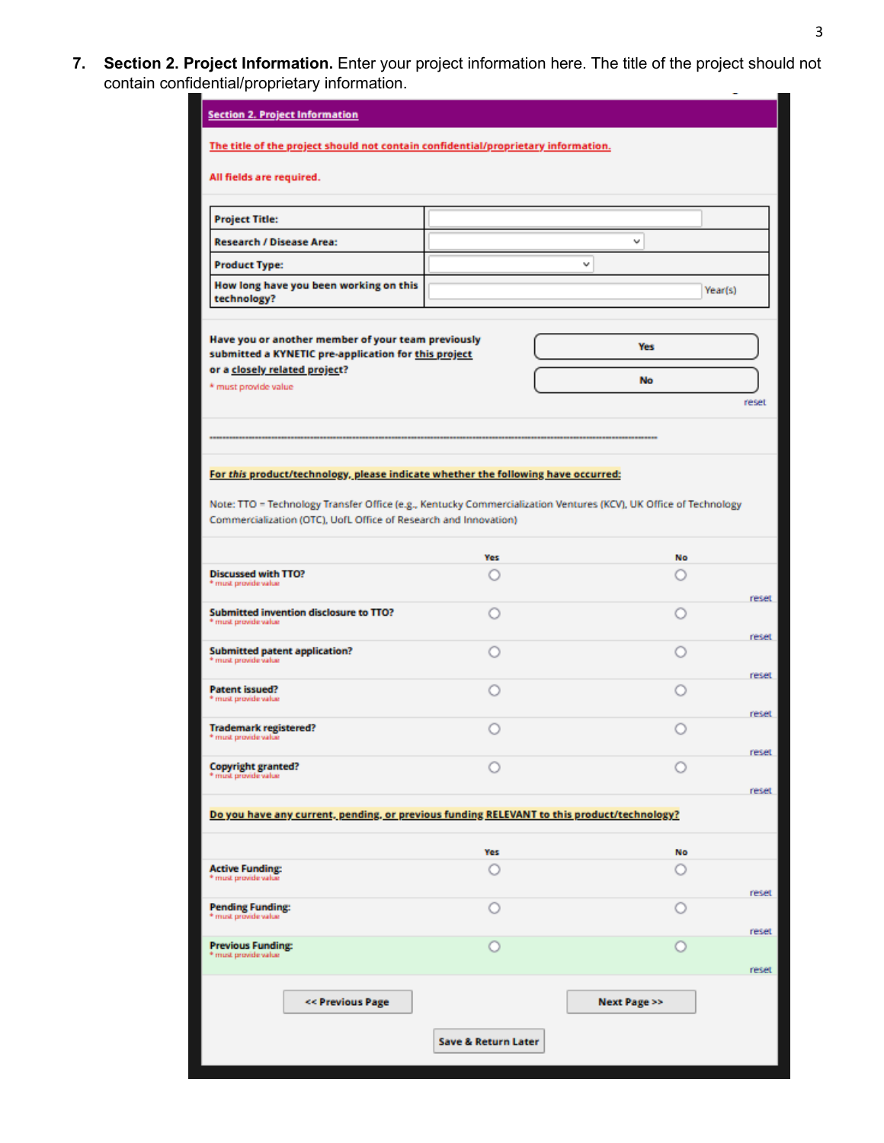**7. Section 2. Project Information.** Enter your project information here. The title of the project should not contain confidential/proprietary information.

| <b>Section 2. Project Information</b>                                                                                                                                                |                                |                           |         |  |  |
|--------------------------------------------------------------------------------------------------------------------------------------------------------------------------------------|--------------------------------|---------------------------|---------|--|--|
| The title of the project should not contain confidential/proprietary information.                                                                                                    |                                |                           |         |  |  |
| All fields are required.                                                                                                                                                             |                                |                           |         |  |  |
| <b>Project Title:</b>                                                                                                                                                                |                                |                           |         |  |  |
| <b>Research / Disease Area:</b>                                                                                                                                                      |                                | v                         |         |  |  |
| <b>Product Type:</b>                                                                                                                                                                 |                                | v                         |         |  |  |
| How long have you been working on this<br>technology?                                                                                                                                |                                |                           | Year(s) |  |  |
|                                                                                                                                                                                      |                                |                           |         |  |  |
| Have you or another member of your team previously<br>submitted a KYNETIC pre-application for this project                                                                           |                                | Yes                       |         |  |  |
| or a <u>closely related project</u> ?                                                                                                                                                |                                | <b>No</b>                 |         |  |  |
| * must provide value                                                                                                                                                                 |                                |                           | reset   |  |  |
|                                                                                                                                                                                      |                                |                           |         |  |  |
|                                                                                                                                                                                      |                                |                           |         |  |  |
| For this product/technology, please indicate whether the following have occurred:                                                                                                    |                                |                           |         |  |  |
|                                                                                                                                                                                      |                                |                           |         |  |  |
| Note: TTO = Technology Transfer Office (e.g., Kentucky Commercialization Ventures (KCV), UK Office of Technology<br>Commercialization (OTC), UofL Office of Research and Innovation) |                                |                           |         |  |  |
|                                                                                                                                                                                      |                                |                           |         |  |  |
|                                                                                                                                                                                      | Yes                            | <b>No</b>                 |         |  |  |
| <b>Discussed with TTO?</b><br>* must provide value                                                                                                                                   |                                |                           |         |  |  |
| Submitted invention disclosure to TTO?                                                                                                                                               |                                |                           | reset   |  |  |
| * must provide value                                                                                                                                                                 |                                |                           | reset   |  |  |
| <b>Submitted patent application?</b><br>* must provide value                                                                                                                         |                                |                           |         |  |  |
|                                                                                                                                                                                      |                                |                           | reset   |  |  |
| <b>Patent issued?</b><br>* must provide value                                                                                                                                        |                                |                           |         |  |  |
| <b>Trademark registered?</b>                                                                                                                                                         |                                |                           | reset   |  |  |
| * must provide value                                                                                                                                                                 |                                |                           | reset   |  |  |
| <b>Copyright granted?</b><br>* must provide value                                                                                                                                    |                                |                           |         |  |  |
|                                                                                                                                                                                      |                                |                           | reset   |  |  |
| Do you have any current, pending, or previous funding RELEVANT to this product/technology?                                                                                           |                                |                           |         |  |  |
|                                                                                                                                                                                      | Yes                            | <b>No</b>                 |         |  |  |
| <b>Active Funding:</b><br>* must provide value                                                                                                                                       |                                |                           |         |  |  |
|                                                                                                                                                                                      |                                |                           | reset   |  |  |
| <b>Pending Funding:</b><br>* must provide value                                                                                                                                      |                                |                           |         |  |  |
| <b>Previous Funding:</b>                                                                                                                                                             |                                |                           | reset   |  |  |
| * must provide value                                                                                                                                                                 |                                |                           | reset   |  |  |
|                                                                                                                                                                                      |                                |                           |         |  |  |
| << Previous Page                                                                                                                                                                     |                                | <b>Next Page &gt;&gt;</b> |         |  |  |
|                                                                                                                                                                                      | <b>Save &amp; Return Later</b> |                           |         |  |  |
|                                                                                                                                                                                      |                                |                           |         |  |  |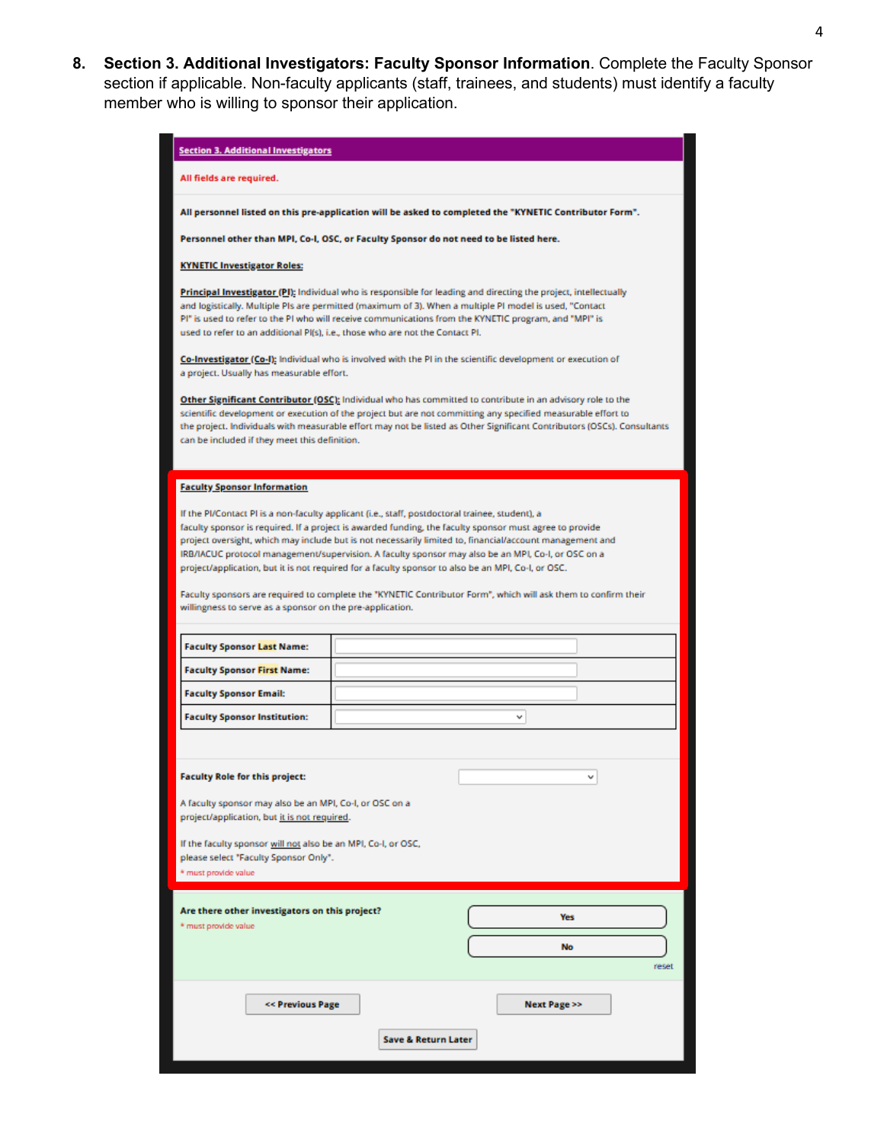**8. Section 3. Additional Investigators: Faculty Sponsor Information**. Complete the Faculty Sponsor section if applicable. Non-faculty applicants (staff, trainees, and students) must identify a faculty member who is willing to sponsor their application.

| <b>Section 3. Additional Investigators</b>                                                                                                                                                                                                                                                                                                                                                                           |                                                                                                                                                                                                                                                                                                                                                                                                                                                                                                                                                                                                                                                      |  |
|----------------------------------------------------------------------------------------------------------------------------------------------------------------------------------------------------------------------------------------------------------------------------------------------------------------------------------------------------------------------------------------------------------------------|------------------------------------------------------------------------------------------------------------------------------------------------------------------------------------------------------------------------------------------------------------------------------------------------------------------------------------------------------------------------------------------------------------------------------------------------------------------------------------------------------------------------------------------------------------------------------------------------------------------------------------------------------|--|
| All fields are required.                                                                                                                                                                                                                                                                                                                                                                                             |                                                                                                                                                                                                                                                                                                                                                                                                                                                                                                                                                                                                                                                      |  |
| All personnel listed on this pre-application will be asked to completed the "KYNETIC Contributor Form".                                                                                                                                                                                                                                                                                                              |                                                                                                                                                                                                                                                                                                                                                                                                                                                                                                                                                                                                                                                      |  |
| Personnel other than MPI, Co-I, OSC, or Faculty Sponsor do not need to be listed here.                                                                                                                                                                                                                                                                                                                               |                                                                                                                                                                                                                                                                                                                                                                                                                                                                                                                                                                                                                                                      |  |
| <b>KYNETIC Investigator Roles:</b>                                                                                                                                                                                                                                                                                                                                                                                   |                                                                                                                                                                                                                                                                                                                                                                                                                                                                                                                                                                                                                                                      |  |
| Principal Investigator (PI): Individual who is responsible for leading and directing the project, intellectually<br>and logistically. Multiple Pls are permitted (maximum of 3). When a multiple PI model is used, "Contact<br>PI" is used to refer to the PI who will receive communications from the KYNETIC program, and "MPI" is<br>used to refer to an additional PKs), i.e., those who are not the Contact PI. |                                                                                                                                                                                                                                                                                                                                                                                                                                                                                                                                                                                                                                                      |  |
| a project. Usually has measurable effort.                                                                                                                                                                                                                                                                                                                                                                            | Co-Investigator (Co-I): Individual who is involved with the PI in the scientific development or execution of                                                                                                                                                                                                                                                                                                                                                                                                                                                                                                                                         |  |
| can be included if they meet this definition.                                                                                                                                                                                                                                                                                                                                                                        | Other Significant Contributor (OSC): Individual who has committed to contribute in an advisory role to the<br>scientific development or execution of the project but are not committing any specified measurable effort to<br>the project. Individuals with measurable effort may not be listed as Other Significant Contributors (OSCs). Consultants                                                                                                                                                                                                                                                                                                |  |
| <b>Faculty Sponsor Information</b>                                                                                                                                                                                                                                                                                                                                                                                   |                                                                                                                                                                                                                                                                                                                                                                                                                                                                                                                                                                                                                                                      |  |
| willingness to serve as a sponsor on the pre-application.                                                                                                                                                                                                                                                                                                                                                            | If the PI/Contact PI is a non-faculty applicant (i.e., staff, postdoctoral trainee, student), a<br>faculty sponsor is required. If a project is awarded funding, the faculty sponsor must agree to provide<br>project oversight, which may include but is not necessarily limited to, financial/account management and<br>IRB/IACUC protocol management/supervision. A faculty sponsor may also be an MPI, Co-I, or OSC on a<br>project/application, but it is not required for a faculty sponsor to also be an MPI, Co-I, or OSC.<br>Faculty sponsors are required to complete the "KYNETIC Contributor Form", which will ask them to confirm their |  |
| <b>Faculty Sponsor Last Name:</b>                                                                                                                                                                                                                                                                                                                                                                                    |                                                                                                                                                                                                                                                                                                                                                                                                                                                                                                                                                                                                                                                      |  |
| <b>Faculty Sponsor First Name:</b>                                                                                                                                                                                                                                                                                                                                                                                   |                                                                                                                                                                                                                                                                                                                                                                                                                                                                                                                                                                                                                                                      |  |
| <b>Faculty Sponsor Email:</b>                                                                                                                                                                                                                                                                                                                                                                                        |                                                                                                                                                                                                                                                                                                                                                                                                                                                                                                                                                                                                                                                      |  |
| <b>Faculty Sponsor Institution:</b>                                                                                                                                                                                                                                                                                                                                                                                  | v                                                                                                                                                                                                                                                                                                                                                                                                                                                                                                                                                                                                                                                    |  |
|                                                                                                                                                                                                                                                                                                                                                                                                                      |                                                                                                                                                                                                                                                                                                                                                                                                                                                                                                                                                                                                                                                      |  |
| <b>Faculty Role for this project:</b><br>A faculty sponsor may also be an MPI, Co-I, or OSC on a                                                                                                                                                                                                                                                                                                                     |                                                                                                                                                                                                                                                                                                                                                                                                                                                                                                                                                                                                                                                      |  |
| project/application, but it is not required.                                                                                                                                                                                                                                                                                                                                                                         |                                                                                                                                                                                                                                                                                                                                                                                                                                                                                                                                                                                                                                                      |  |
| If the faculty sponsor will not also be an MPI, Co-I, or OSC,<br>please select "Faculty Sponsor Only".<br>* must provide value                                                                                                                                                                                                                                                                                       |                                                                                                                                                                                                                                                                                                                                                                                                                                                                                                                                                                                                                                                      |  |
|                                                                                                                                                                                                                                                                                                                                                                                                                      |                                                                                                                                                                                                                                                                                                                                                                                                                                                                                                                                                                                                                                                      |  |
| Are there other investigators on this project?<br>Yes<br>* must provide value                                                                                                                                                                                                                                                                                                                                        |                                                                                                                                                                                                                                                                                                                                                                                                                                                                                                                                                                                                                                                      |  |
|                                                                                                                                                                                                                                                                                                                                                                                                                      | <b>No</b><br>reset                                                                                                                                                                                                                                                                                                                                                                                                                                                                                                                                                                                                                                   |  |
|                                                                                                                                                                                                                                                                                                                                                                                                                      |                                                                                                                                                                                                                                                                                                                                                                                                                                                                                                                                                                                                                                                      |  |
| << Previous Page                                                                                                                                                                                                                                                                                                                                                                                                     | <b>Next Page &gt;&gt;</b><br><b>Save &amp; Return Later</b>                                                                                                                                                                                                                                                                                                                                                                                                                                                                                                                                                                                          |  |
|                                                                                                                                                                                                                                                                                                                                                                                                                      |                                                                                                                                                                                                                                                                                                                                                                                                                                                                                                                                                                                                                                                      |  |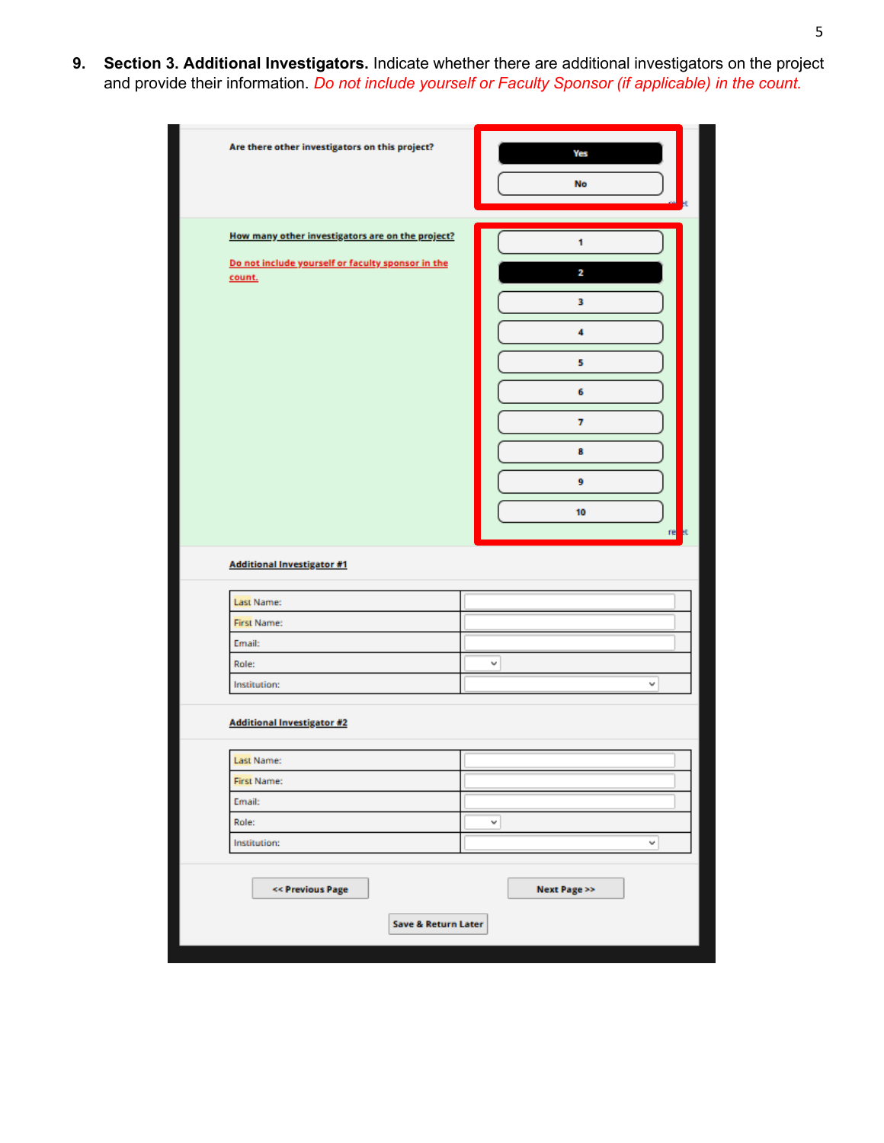**9. Section 3. Additional Investigators.** Indicate whether there are additional investigators on the project and provide their information. *Do not include yourself or Faculty Sponsor (if applicable) in the count.*

| Are there other investigators on this project?              | Yes<br><b>No</b>          |
|-------------------------------------------------------------|---------------------------|
| How many other investigators are on the project?            |                           |
|                                                             | 1                         |
| Do not include yourself or faculty sponsor in the<br>count. | 2                         |
|                                                             | 3                         |
|                                                             | 4                         |
|                                                             | 5                         |
|                                                             | 6                         |
|                                                             |                           |
|                                                             | 7                         |
|                                                             | 8                         |
|                                                             | 9                         |
|                                                             | 10                        |
|                                                             | re<br>Ŧ.                  |
| <b>Additional Investigator #1</b>                           |                           |
| <b>Last Name:</b>                                           |                           |
| <b>First Name:</b>                                          |                           |
| Email:                                                      |                           |
| Role:                                                       | ν                         |
| Institution:                                                | v                         |
| <b>Additional Investigator #2</b>                           |                           |
| Last Name:                                                  |                           |
| <b>First Name:</b>                                          |                           |
| Email:                                                      |                           |
| Role:                                                       | v                         |
| Institution:                                                | v                         |
| << Previous Page<br><b>Save &amp; Return Later</b>          | <b>Next Page &gt;&gt;</b> |
|                                                             |                           |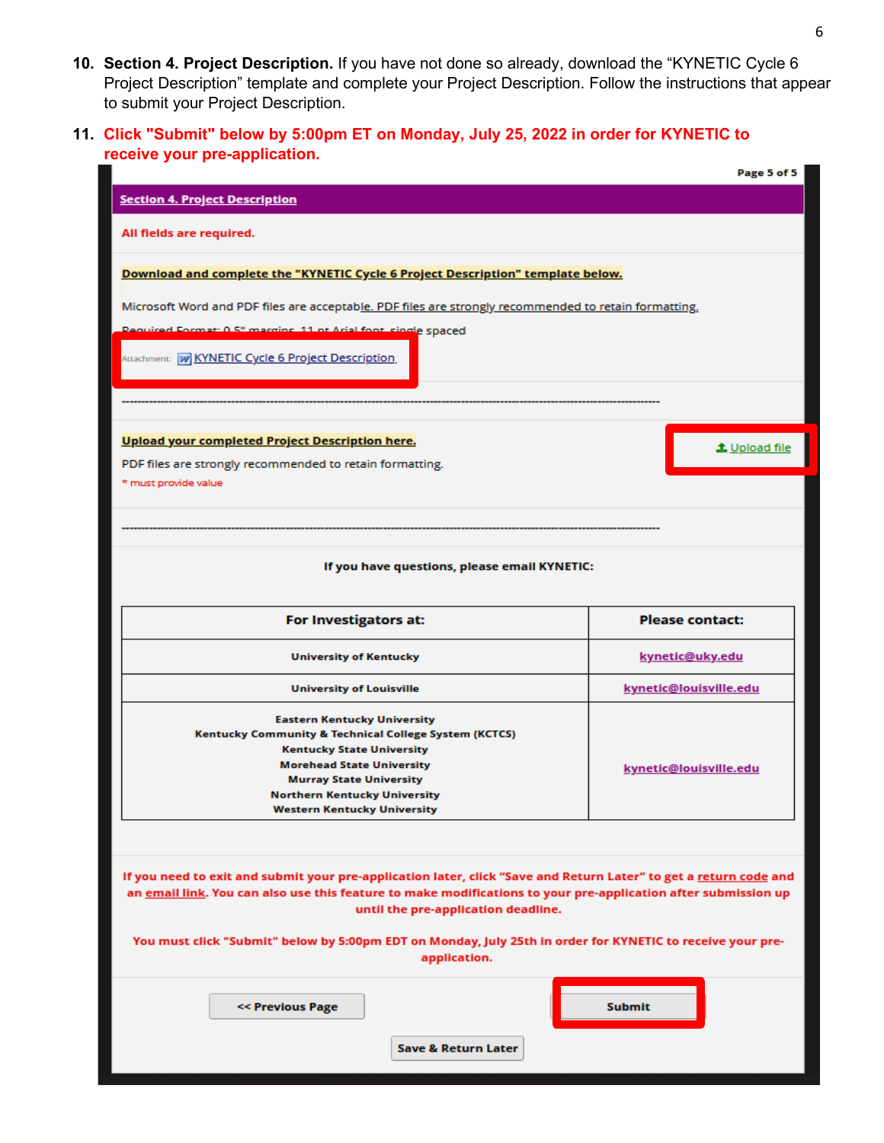- **10. Section 4. Project Description.** If you have not done so already, download the "KYNETIC Cycle 6 Project Description" template and complete your Project Description. Follow the instructions that appear to submit your Project Description.
- **11. Click "Submit" below by 5:00pm ET on Monday, July 25, 2022 in order for KYNETIC to receive your pre-application.**

|                                                                                                                                                                         |               | Page 5 of 5            |  |  |
|-------------------------------------------------------------------------------------------------------------------------------------------------------------------------|---------------|------------------------|--|--|
| <b>Section 4. Project Description</b>                                                                                                                                   |               |                        |  |  |
| All fields are required.                                                                                                                                                |               |                        |  |  |
|                                                                                                                                                                         |               |                        |  |  |
| Download and complete the "KYNETIC Cycle 6 Project Description" template below.                                                                                         |               |                        |  |  |
|                                                                                                                                                                         |               |                        |  |  |
| Microsoft Word and PDF files are acceptable. PDF files are strongly recommended to retain formatting.<br>Dequired Format: 0.5" margins, 11 of Arial foot, single spaced |               |                        |  |  |
|                                                                                                                                                                         |               |                        |  |  |
| Attachment: W KYNETIC Cycle 6 Project Description                                                                                                                       |               |                        |  |  |
|                                                                                                                                                                         |               |                        |  |  |
|                                                                                                                                                                         |               |                        |  |  |
| <u>Upload your completed Project Description here.</u>                                                                                                                  |               | 1 Upload file          |  |  |
| PDF files are strongly recommended to retain formatting.                                                                                                                |               |                        |  |  |
| * must provide value                                                                                                                                                    |               |                        |  |  |
|                                                                                                                                                                         |               |                        |  |  |
|                                                                                                                                                                         |               |                        |  |  |
|                                                                                                                                                                         |               |                        |  |  |
| If you have questions, please email KYNETIC:                                                                                                                            |               |                        |  |  |
|                                                                                                                                                                         |               |                        |  |  |
| For Investigators at:                                                                                                                                                   |               | <b>Please contact:</b> |  |  |
| <b>University of Kentucky</b>                                                                                                                                           |               | kynetic@uky.edu        |  |  |
|                                                                                                                                                                         |               |                        |  |  |
| <b>University of Louisville</b>                                                                                                                                         |               | kynetic@louisville.edu |  |  |
| <b>Eastern Kentucky University</b>                                                                                                                                      |               |                        |  |  |
| Kentucky Community & Technical College System (KCTCS)                                                                                                                   |               |                        |  |  |
| <b>Kentucky State University</b><br><b>Morehead State University</b>                                                                                                    |               |                        |  |  |
| <b>Murray State University</b>                                                                                                                                          |               | kynetic@louisville.edu |  |  |
| <b>Northern Kentucky University</b>                                                                                                                                     |               |                        |  |  |
| <b>Western Kentucky University</b>                                                                                                                                      |               |                        |  |  |
|                                                                                                                                                                         |               |                        |  |  |
|                                                                                                                                                                         |               |                        |  |  |
| If you need to exit and submit your pre-application later, click "Save and Return Later" to get a return code and                                                       |               |                        |  |  |
| an email link. You can also use this feature to make modifications to your pre-application after submission up                                                          |               |                        |  |  |
| until the pre-application deadline.                                                                                                                                     |               |                        |  |  |
| You must click "Submit" below by 5:00pm EDT on Monday, July 25th in order for KYNETIC to receive your pre-                                                              |               |                        |  |  |
| application.                                                                                                                                                            |               |                        |  |  |
|                                                                                                                                                                         |               |                        |  |  |
|                                                                                                                                                                         |               |                        |  |  |
| << Previous Page                                                                                                                                                        | <b>Submit</b> |                        |  |  |
|                                                                                                                                                                         |               |                        |  |  |
| <b>Save &amp; Return Later</b>                                                                                                                                          |               |                        |  |  |
|                                                                                                                                                                         |               |                        |  |  |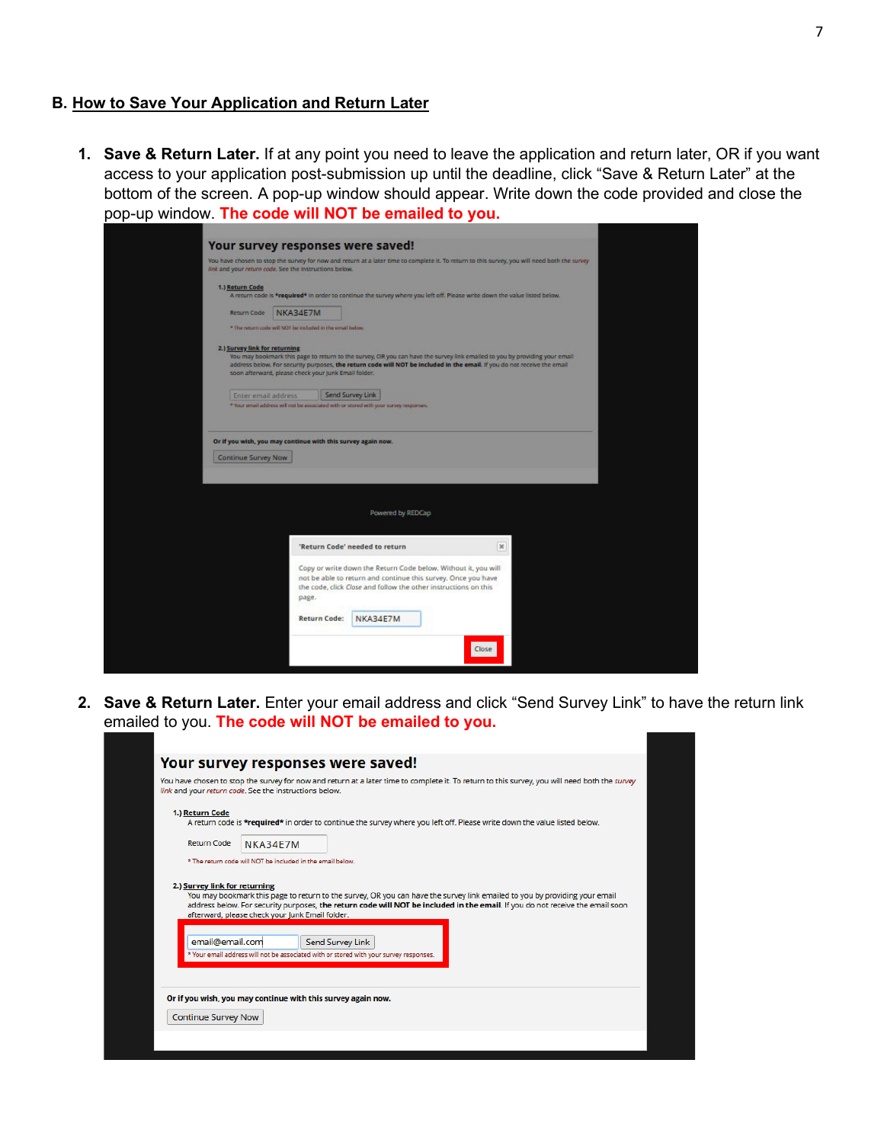## **B. How to Save Your Application and Return Later**

**1. Save & Return Later.** If at any point you need to leave the application and return later, OR if you want access to your application post-submission up until the deadline, click "Save & Return Later" at the bottom of the screen. A pop-up window should appear. Write down the code provided and close the pop-up window. **The code will NOT be emailed to you.**

|                               | Your survey responses were saved!                          |                                                                                                                                                                                                                                                        |                       |  |
|-------------------------------|------------------------------------------------------------|--------------------------------------------------------------------------------------------------------------------------------------------------------------------------------------------------------------------------------------------------------|-----------------------|--|
|                               | link and your return code. See the instructions below.     | You have chosen to stop the survey for now and return at a later time to complete it. To return to this survey, you will need both the survey                                                                                                          |                       |  |
| 1.) Return Code               |                                                            | A return code is *required* in order to continue the survey where you left off. Please write down the value listed below.                                                                                                                              |                       |  |
| Return Code                   | NKA34E7M                                                   |                                                                                                                                                                                                                                                        |                       |  |
|                               | * The return code will NOT be included in the email below. |                                                                                                                                                                                                                                                        |                       |  |
| 2.) Survey link for returning | soon afterward, please check your Junk Email folder.       | You may bookmark this page to return to the survey, OR you can have the survey link emailed to you by providing your email<br>address below. For security purposes, the return code will NOT be included in the email. If you do not receive the email |                       |  |
| Enter email address           |                                                            | Send Survey Link                                                                                                                                                                                                                                       |                       |  |
|                               |                                                            | * Your email address will not be associated with or stored with your survey responses.                                                                                                                                                                 |                       |  |
| <b>Continue Survey Now</b>    |                                                            | Or if you wish, you may continue with this survey again now.                                                                                                                                                                                           |                       |  |
|                               |                                                            | Powered by REDCap                                                                                                                                                                                                                                      |                       |  |
|                               |                                                            | 'Return Code' needed to return                                                                                                                                                                                                                         | $\boldsymbol{\times}$ |  |
|                               | page.<br><b>Return Code:</b>                               | Copy or write down the Return Code below. Without it, you will<br>not be able to return and continue this survey. Once you have<br>the code, click Close and follow the other instructions on this<br>NKA34E7M                                         |                       |  |

**2. Save & Return Later.** Enter your email address and click "Send Survey Link" to have the return link emailed to you. **The code will NOT be emailed to you.**

| Your survey responses were saved!                                                |                                                                                                                                                                                                                                                             |  |
|----------------------------------------------------------------------------------|-------------------------------------------------------------------------------------------------------------------------------------------------------------------------------------------------------------------------------------------------------------|--|
| link and your return code. See the instructions below.                           | You have chosen to stop the survey for now and return at a later time to complete it. To return to this survey, you will need both the survey                                                                                                               |  |
| 1.) Return Code                                                                  |                                                                                                                                                                                                                                                             |  |
|                                                                                  | A return code is *required* in order to continue the survey where you left off. Please write down the value listed below.                                                                                                                                   |  |
| <b>Return Code</b><br>NKA34F7M                                                   |                                                                                                                                                                                                                                                             |  |
| * The return code will NOT be included in the email below.                       |                                                                                                                                                                                                                                                             |  |
|                                                                                  |                                                                                                                                                                                                                                                             |  |
|                                                                                  |                                                                                                                                                                                                                                                             |  |
| 2.) Survey link for returning<br>afterward, please check your Junk Email folder. | You may bookmark this page to return to the survey, OR you can have the survey link emailed to you by providing your email<br>address below. For security purposes, the return code will NOT be included in the email. If you do not receive the email soon |  |
| email@email.com                                                                  | Send Survey Link                                                                                                                                                                                                                                            |  |
| Or if you wish, you may continue with this survey again now.                     | * Your email address will not be associated with or stored with your survey responses.                                                                                                                                                                      |  |
| <b>Continue Survey Now</b>                                                       |                                                                                                                                                                                                                                                             |  |
|                                                                                  |                                                                                                                                                                                                                                                             |  |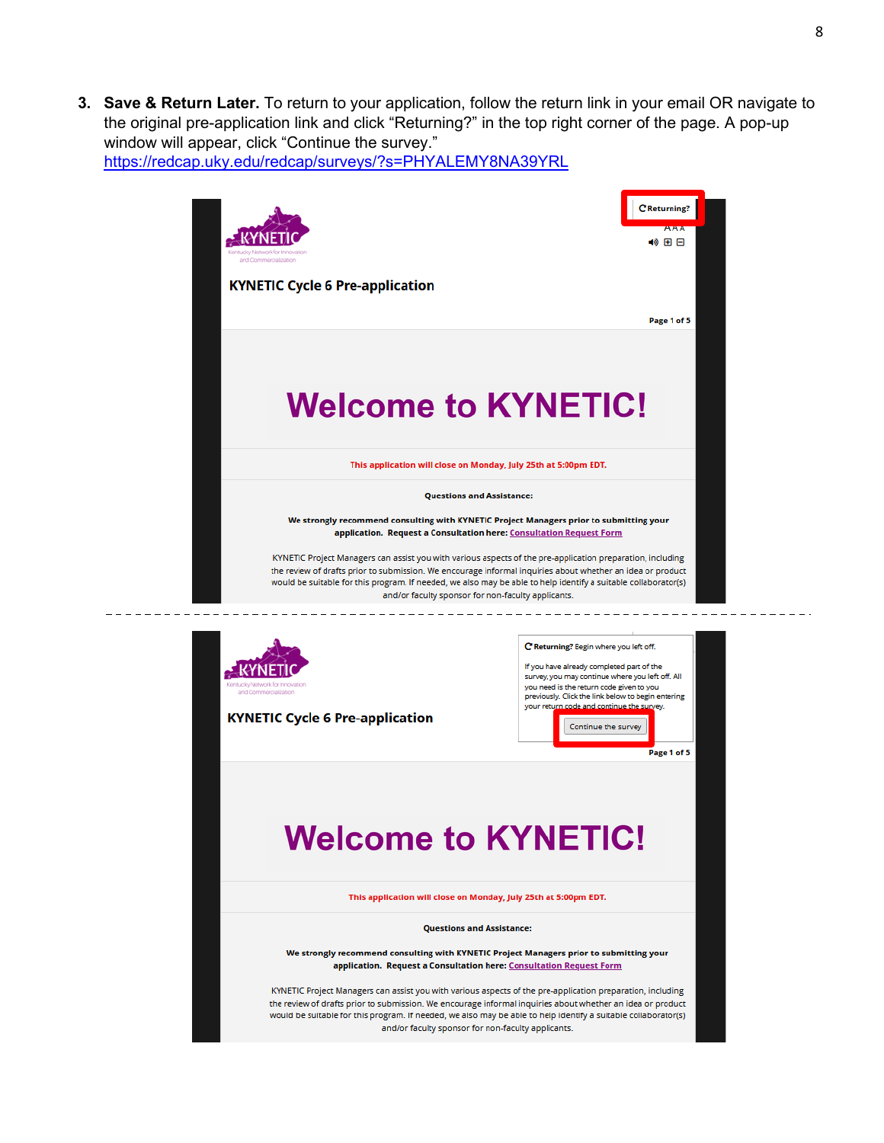3. Save & Return Later. To return to your application, follow the return link in your email OR navigate to the original pre-application link and click "Returning?" in the top right corner of the page. A pop-up window will appear, click "Continue the survey." https://redcap.uky.edu/redcap/surveys/?s=PHYALEMY8NA39YRL



**KYNETIC Cycle 6 Pre-application** 

you need is the return code given to you previously. Click the link below to begin entering your return code and continue the survey.

Continue the survey

Page 1 of 5

# **Welcome to KYNETIC!**

This application will close on Monday, luly 25th at 5:00pm EDT.

**Questions and Assistance:** 

We strongly recommend consulting with KYNETIC Project Managers prior to submitting your application. Request a Consultation here: Consultation Request Form

KYNETIC Project Managers can assist you with various aspects of the pre-application preparation, including the review of drafts prior to submission. We encourage informal inquiries about whether an idea or product would be suitable for this program. If needed, we also may be able to help identify a suitable collaborator(s) and/or faculty sponsor for non-faculty applicants.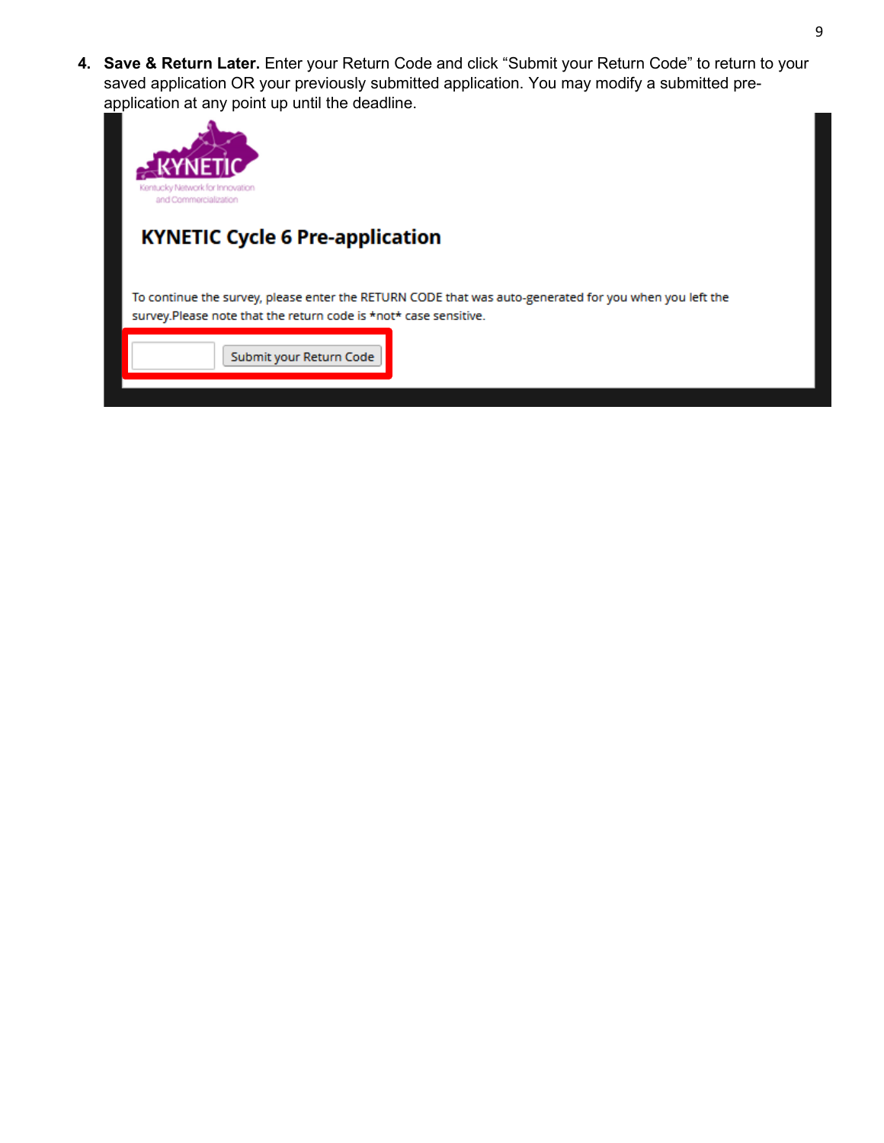**4. Save & Return Later.** Enter your Return Code and click "Submit your Return Code" to return to your saved application OR your previously submitted application. You may modify a submitted preapplication at any point up until the deadline.

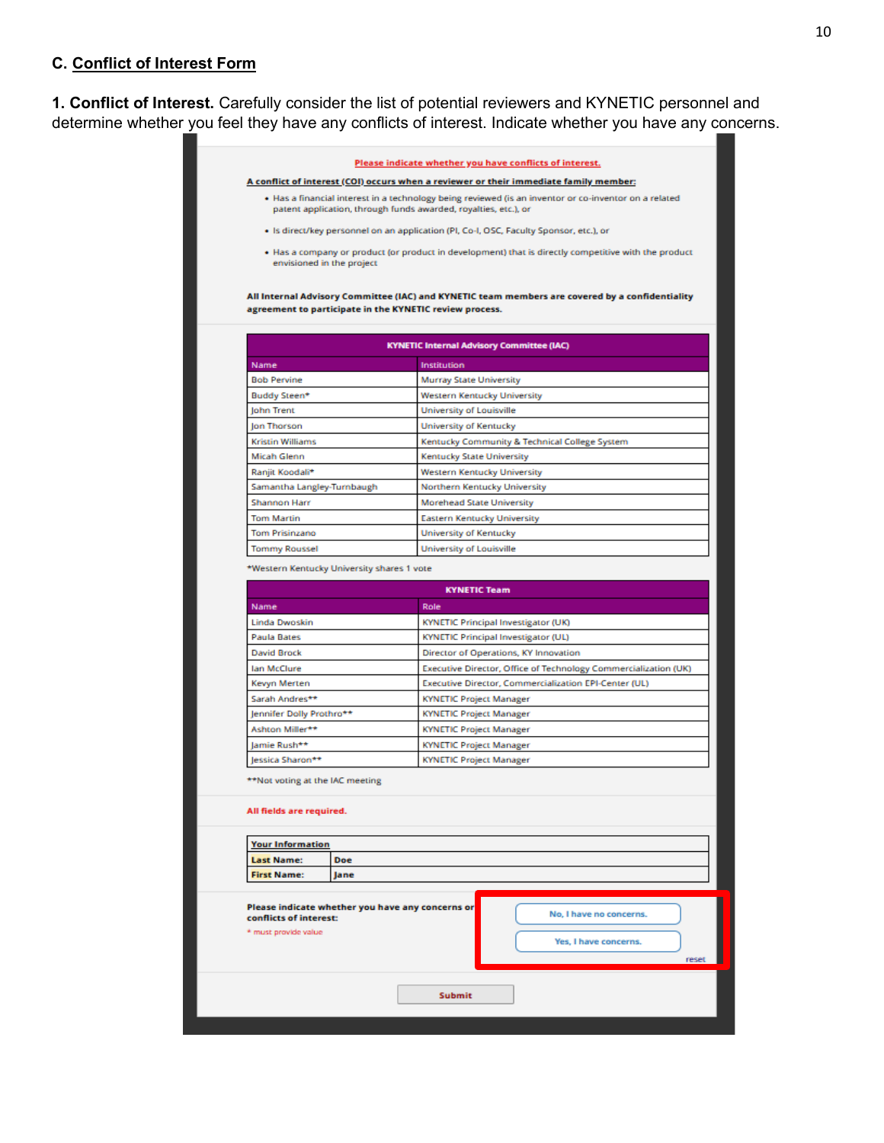## **C. Conflict of Interest Form**

1. Conflict of Interest. Carefully consider the list of potential reviewers and KYNETIC personnel and determine whether you feel they have any conflicts of interest. Indicate whether you have any concerns.

#### Please indicate whether you have conflicts of interest.

## A conflict of interest (COI) occurs when a reviewer or their immediate family member:

- . Has a financial interest in a technology being reviewed (is an inventor or co-inventor on a related patent application, through funds awarded, royalties, etc.), or
- · Is direct/key personnel on an application (PI, Co-I, OSC, Faculty Sponsor, etc.), or
- . Has a company or product (or product in development) that is directly competitive with the product envisioned in the project

All Internal Advisory Committee (IAC) and KYNETIC team members are covered by a confidentiality agreement to participate in the KYNETIC review process.

| <b>KYNETIC Internal Advisory Committee (IAC)</b> |                                               |  |
|--------------------------------------------------|-----------------------------------------------|--|
| Name                                             | Institution                                   |  |
| <b>Bob Pervine</b>                               | Murray State University                       |  |
| Buddy Steen*                                     | Western Kentucky University                   |  |
| <b>John Trent</b>                                | <b>University of Louisville</b>               |  |
| <b>Jon Thorson</b>                               | <b>University of Kentucky</b>                 |  |
| <b>Kristin Williams</b>                          | Kentucky Community & Technical College System |  |
| Micah Glenn                                      | <b>Kentucky State University</b>              |  |
| Ranjit Koodali*                                  | Western Kentucky University                   |  |
| Samantha Langley-Turnbaugh                       | Northern Kentucky University                  |  |
| Shannon Harr                                     | Morehead State University                     |  |
| <b>Tom Martin</b>                                | Eastern Kentucky University                   |  |
| Tom Prisinzano                                   | <b>University of Kentucky</b>                 |  |
| <b>Tommy Roussel</b>                             | <b>University of Louisville</b>               |  |

#### \*Western Kentucky University shares 1 vote

| <b>KYNETIC Team</b>      |                                                                 |  |
|--------------------------|-----------------------------------------------------------------|--|
| Name                     | Role                                                            |  |
| Linda Dwoskin            | <b>KYNETIC Principal Investigator (UK)</b>                      |  |
| <b>Paula Bates</b>       | <b>KYNETIC Principal Investigator (UL)</b>                      |  |
| David Brock              | Director of Operations, KY Innovation                           |  |
| lan McClure              | Executive Director, Office of Technology Commercialization (UK) |  |
| Kevyn Merten             | Executive Director, Commercialization EPI-Center (UL)           |  |
| Sarah Andres**           | <b>KYNETIC Project Manager</b>                                  |  |
| Jennifer Dolly Prothro** | <b>KYNETIC Project Manager</b>                                  |  |
| Ashton Miller**          | <b>KYNETIC Project Manager</b>                                  |  |
| Jamie Rush**             | <b>KYNETIC Project Manager</b>                                  |  |
| lessica Sharon**         | <b>KYNETIC Project Manager</b>                                  |  |

\*\* Not voting at the IAC meeting

## All fields are required.

| <b>Your Information</b> |  |
|-------------------------|--|
| Joe                     |  |
| me                      |  |
|                         |  |

Please indicate whether you have any concerns or conflicts of interest: \* must provide value

No, I have no concerns.

rese

Yes, I have concerns.

Submit